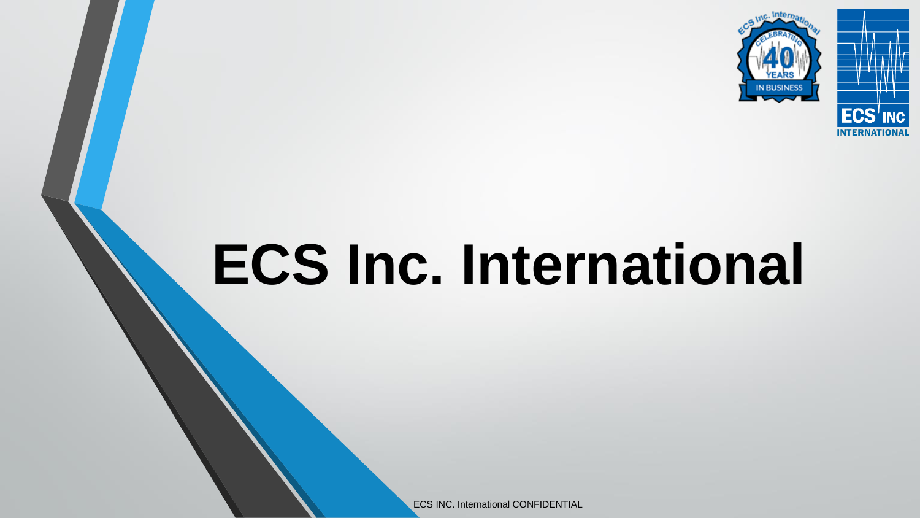

# **ECS Inc. International**

ECS INC. International CONFIDENTIAL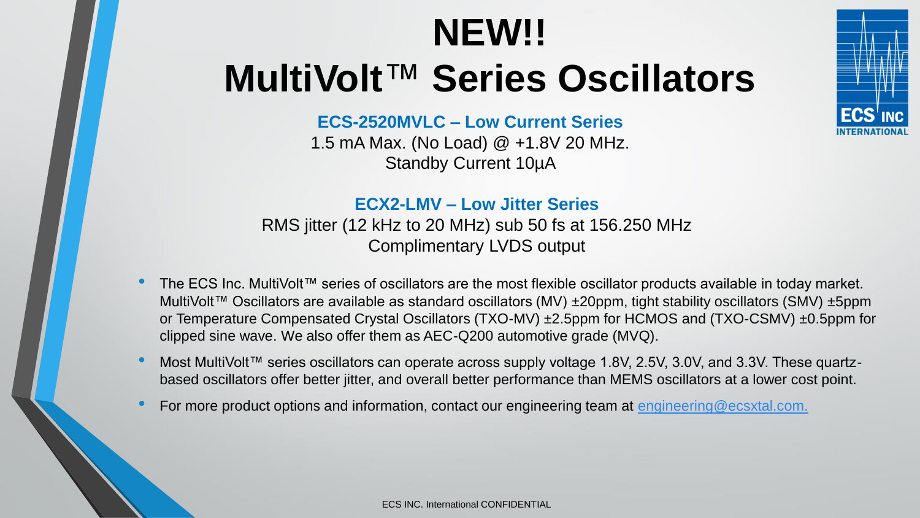# **NEW!! MultiVolt**™ **Series Oscillators**



## **ECS-2520MVLC – Low Current Series**

1.5 mA Max. (No Load) @ +1.8V 20 MHz. Standby Current 10µA

## **ECX2-LMV – Low Jitter Series**

RMS jitter (12 kHz to 20 MHz) sub 50 fs at 156.250 MHz Complimentary LVDS output

- The ECS Inc. MultiVolt™ series of oscillators are the most flexible oscillator products available in today market. MultiVolt™ Oscillators are available as standard oscillators (MV) ±20ppm, tight stability oscillators (SMV) ±5ppm or Temperature Compensated Crystal Oscillators (TXO-MV) ±2.5ppm for HCMOS and (TXO-CSMV) ±0.5ppm for clipped sine wave. We also offer them as AEC-Q200 automotive grade (MVQ).
- Most MultiVolt™ series oscillators can operate across supply voltage 1.8V, 2.5V, 3.0V, and 3.3V. These quartzbased oscillators offer better jitter, and overall better performance than MEMS oscillators at a lower cost point.
- For more product options and information, contact our engineering team at [engineering@ecsxtal.com.](mailto:engineering@ecsxtal.com.)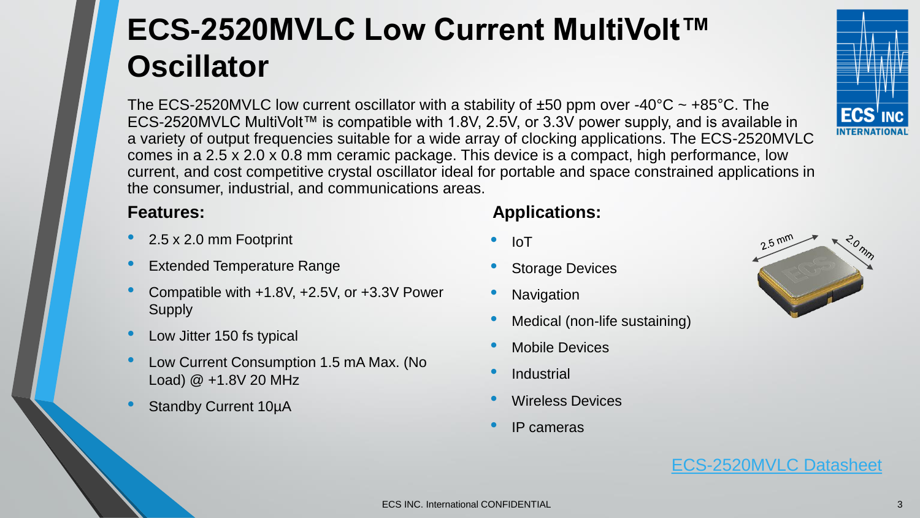# **ECS-2520MVLC Low Current MultiVolt™ Oscillator**

The ECS-2520MVLC low current oscillator with a stability of  $\pm 50$  ppm over -40°C ~ +85°C. The ECS-2520MVLC MultiVolt™ is compatible with 1.8V, 2.5V, or 3.3V power supply, and is available in a variety of output frequencies suitable for a wide array of clocking applications. The ECS-2520MVLC comes in a 2.5 x 2.0 x 0.8 mm ceramic package. This device is a compact, high performance, low current, and cost competitive crystal oscillator ideal for portable and space constrained applications in the consumer, industrial, and communications areas.

- 2.5 x 2.0 mm Footprint
- **Extended Temperature Range**
- Compatible with +1.8V, +2.5V, or +3.3V Power **Supply**
- Low Jitter 150 fs typical
- Low Current Consumption 1.5 mA Max. (No Load) @ +1.8V 20 MHz
- Standby Current 10µA

# **Features: Applications:**

- IoT
- **Storage Devices**
- **Navigation**
- Medical (non-life sustaining)
- Mobile Devices
- **Industrial**
- Wireless Devices
- IP cameras

[ECS-2520MVLC Datasheet](https://ecsxtal.com/store/pdf/ECS-2520MVLC.pdf)

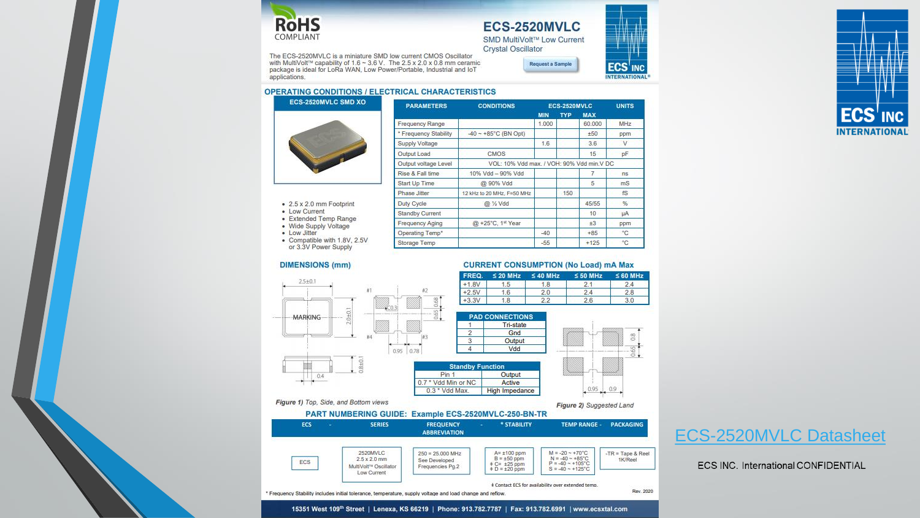

## **ECS-2520MVLC**

SMD MultiVolt™ Low Current **Crystal Oscillator** 

Request a Sample

**ECS** 

**NTERNATIONAL** 

**INC** 

The ECS-2520MVLC is a miniature SMD low current CMOS Oscillator with MultiVolt™ capability of 1.6 ~ 3.6 V. The 2.5 x 2.0 x 0.8 mm ceramic package is ideal for LoRa WAN, Low Power/Portable, Industrial and IoT applications.

#### **OPERATING CONDITIONS / ELECTRICAL CHARACTERISTICS**



| <b>PARAMETERS</b>      | <b>CONDITIONS</b>                         |                          |     | ECS-2520MVLC |             |  |
|------------------------|-------------------------------------------|--------------------------|-----|--------------|-------------|--|
|                        |                                           | <b>TYP</b><br><b>MIN</b> |     | <b>MAX</b>   |             |  |
| Frequency Range        |                                           | 1.000                    |     | 60.000       | MHz         |  |
| * Frequency Stability  | $-40 - +85$ °C (BN Opt)                   |                          |     | ±50          | ppm         |  |
| Supply Voltage         |                                           | 1.6                      |     | 3.6          | V           |  |
| Output Load            | <b>CMOS</b>                               |                          |     | 15           | pF          |  |
| Output voltage Level   | VOL: 10% Vdd max. / VOH: 90% Vdd min.V DC |                          |     |              |             |  |
| Rise & Fall time       | 10% Vdd - 90% Vdd                         |                          |     | 7            | ns          |  |
| Start Up Time          | @ 90% Vdd                                 |                          |     | 5            | ms          |  |
| Phase Jitter           | 12 kHz to 20 MHz, F=50 MHz                |                          | 150 |              | fS          |  |
| Duty Cycle             | @ % Vdd                                   |                          |     | 45/55        | %           |  |
| <b>Standby Current</b> |                                           |                          |     | 10           | μA          |  |
| Frequency Aging        | @ +25°C, 1st Year                         |                          |     | ±3           | ppm         |  |
| Operating Temp*        |                                           | $-40$                    |     | $+85$        | °C          |  |
| Storage Temp           |                                           | $-55$                    |     | $+125$       | $^{\circ}C$ |  |

**Tri-state** 

Gnd

Output

Vdd

Output

Active

\* STABILITY

 $A = \pm 100$  ppm

 $B = \pm 50$  ppm

 $C^* = 125$  ppm<br> $D = 120$  ppm

 $\bullet$  2.5 x 2.0 mm Footprint

- Low Current
- · Extended Temp Range
- · Wide Supply Voltage
- Low Jitter

ECS

• Compatible with 1.8V, 2.5V or 3.3V Power Supply

### **DIMENSIONS (mm)**



2520MVLC

MultiVolt™ Oscillator

\* Frequency Stability includes initial tolerance, temperature, supply voltage and load change and reflow

Low Current

 $2.5 \times 2.0$  mm

#### **CURRENT CONSUMPTION (No Load) mA Max**

| FREQ.   | $\leq$ 20 MHz<br>$\leq 40$ MHz |     | $< 50$ MHz | ≤ 60 MHz |
|---------|--------------------------------|-----|------------|----------|
| $+1.8V$ | 1.5                            | 1.8 |            |          |
| $+2.5V$ | 6                              | 2.0 | 24         |          |
| $+3.3V$ | 8                              | 22  |            |          |

 $M = -20 - +70^{\circ}C$ 

 $N = -40 - *85^{\circ}C$ 

 $P = -40 - +105^{\circ}C$ 

 $S = -40 - +125^{\circ}C$ 

# Contact ECS for availability over extended temp.



 $-TR = Table 8$  Reel

Rev. 2020

1K/Reel



ECS INC. International CONFIDENTIAL



15351 West 109th Street | Lenexa, KS 66219 | Phone: 913.782.7787 | Fax: 913.782.6991 | www.ecsxtal.com

 $250 = 25.000$  MHz

Frequencies Pg.2

See Developed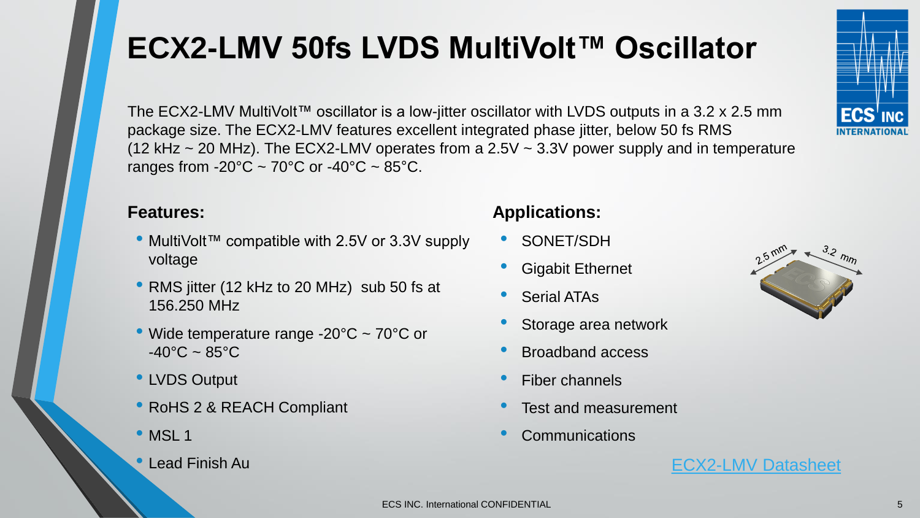# **ECX2-LMV 50fs LVDS MultiVolt™ Oscillator**

The ECX2-LMV MultiVolt™ oscillator is a low-jitter oscillator with LVDS outputs in a 3.2 x 2.5 mm package size. The ECX2-LMV features excellent integrated phase jitter, below 50 fs RMS (12 kHz  $\sim$  20 MHz). The ECX2-LMV operates from a 2.5V  $\sim$  3.3V power supply and in temperature ranges from -20 $^{\circ}$ C ~ 70 $^{\circ}$ C or -40 $^{\circ}$ C ~ 85 $^{\circ}$ C.

- MultiVolt™ compatible with 2.5V or 3.3V supply voltage
- RMS jitter (12 kHz to 20 MHz) sub 50 fs at 156.250 MHz
- Wide temperature range -20°C ~ 70°C or  $-40^{\circ}$ C ~ 85 $^{\circ}$ C
- LVDS Output
- RoHS 2 & REACH Compliant
- MSL 1
- 

# **Features: Applications:**

- SONET/SDH
- Gigabit Ethernet
- **Serial ATAs**
- Storage area network
- Broadband access
- Fiber channels
- Test and measurement
- **Communications**